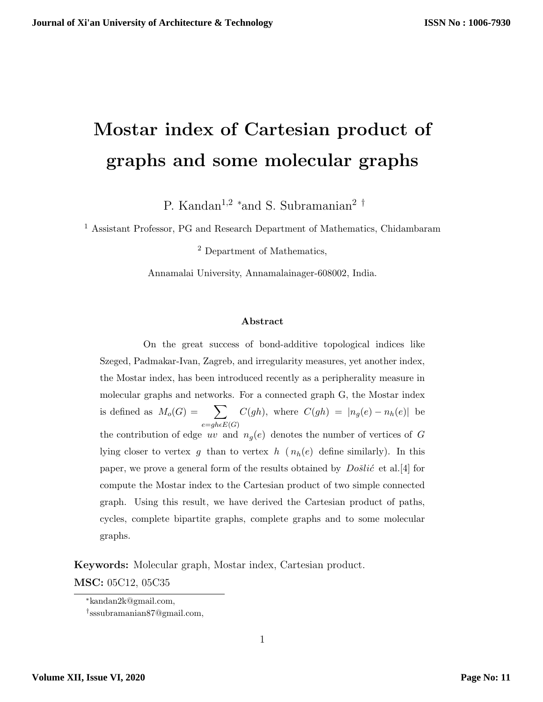# **Mostar index of Cartesian product of graphs and some molecular graphs**

P. Kandan<sup>1</sup>*,*<sup>2</sup> *<sup>∗</sup>*and S. Subramanian<sup>2</sup> *†*

 $^{\rm 1}$  Assistant Professor, PG and Research Department of Mathematics, Chidambaram

<sup>2</sup> Department of Mathematics,

Annamalai University, Annamalainager-608002, India.

#### **Abstract**

On the great success of bond-additive topological indices like Szeged, Padmakar-Ivan, Zagreb, and irregularity measures, yet another index, the Mostar index, has been introduced recently as a peripherality measure in molecular graphs and networks. For a connected graph G, the Mostar index is defined as  $M_o(G) = \sum$  $e = gh\epsilon E(G)$  $C(gh)$ , where  $C(gh) = |n_g(e) - n_h(e)|$  be the contribution of edge *uv* and  $n_q(e)$  denotes the number of vertices of *G* lying closer to vertex  $g$  than to vertex  $h$  ( $n_h(e)$  define similarly). In this paper, we prove a general form of the results obtained by  $Do\ddot{si}\acute{c}$  et al. [4] for compute the Mostar index to the Cartesian product of two simple connected graph. Using this result, we have derived the Cartesian product of paths, cycles, complete bipartite graphs, complete graphs and to some molecular graphs.

**Keywords:** Molecular graph, Mostar index, Cartesian product.

**MSC:** 05C12, 05C35

*<sup>∗</sup>*kandan2k@gmail.com,

*<sup>†</sup>* sssubramanian87@gmail.com,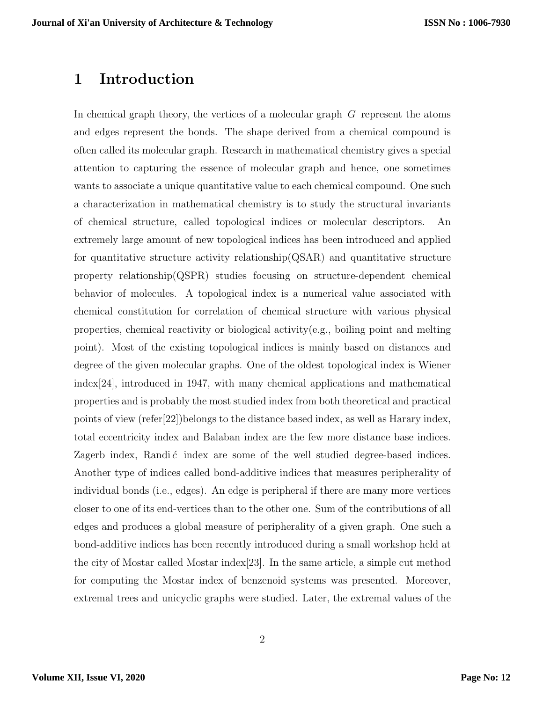## **1 Introduction**

In chemical graph theory, the vertices of a molecular graph *G* represent the atoms and edges represent the bonds. The shape derived from a chemical compound is often called its molecular graph. Research in mathematical chemistry gives a special attention to capturing the essence of molecular graph and hence, one sometimes wants to associate a unique quantitative value to each chemical compound. One such a characterization in mathematical chemistry is to study the structural invariants of chemical structure, called topological indices or molecular descriptors. An extremely large amount of new topological indices has been introduced and applied for quantitative structure activity relationship(QSAR) and quantitative structure property relationship(QSPR) studies focusing on structure-dependent chemical behavior of molecules. A topological index is a numerical value associated with chemical constitution for correlation of chemical structure with various physical properties, chemical reactivity or biological activity(e.g., boiling point and melting point). Most of the existing topological indices is mainly based on distances and degree of the given molecular graphs. One of the oldest topological index is Wiener index[24], introduced in 1947, with many chemical applications and mathematical properties and is probably the most studied index from both theoretical and practical points of view (refer[22])belongs to the distance based index, as well as Harary index, total eccentricity index and Balaban index are the few more distance base indices. Zagerb index, Randi $\acute{c}$  index are some of the well studied degree-based indices. Another type of indices called bond-additive indices that measures peripherality of individual bonds (i.e., edges). An edge is peripheral if there are many more vertices closer to one of its end-vertices than to the other one. Sum of the contributions of all edges and produces a global measure of peripherality of a given graph. One such a bond-additive indices has been recently introduced during a small workshop held at the city of Mostar called Mostar index[23]. In the same article, a simple cut method for computing the Mostar index of benzenoid systems was presented. Moreover, extremal trees and unicyclic graphs were studied. Later, the extremal values of the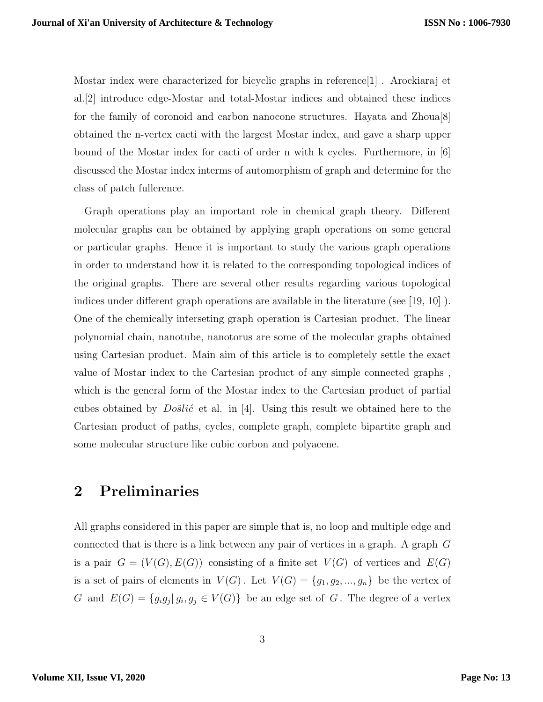Mostar index were characterized for bicyclic graphs in reference[1] . Arockiaraj et al.[2] introduce edge-Mostar and total-Mostar indices and obtained these indices for the family of coronoid and carbon nanocone structures. Hayata and Zhoua[8] obtained the n-vertex cacti with the largest Mostar index, and gave a sharp upper bound of the Mostar index for cacti of order n with k cycles. Furthermore, in [6] discussed the Mostar index interms of automorphism of graph and determine for the class of patch fullerence.

Graph operations play an important role in chemical graph theory. Different molecular graphs can be obtained by applying graph operations on some general or particular graphs. Hence it is important to study the various graph operations in order to understand how it is related to the corresponding topological indices of the original graphs. There are several other results regarding various topological indices under different graph operations are available in the literature (see [19, 10] ). One of the chemically interseting graph operation is Cartesian product. The linear polynomial chain, nanotube, nanotorus are some of the molecular graphs obtained using Cartesian product. Main aim of this article is to completely settle the exact value of Mostar index to the Cartesian product of any simple connected graphs , which is the general form of the Mostar index to the Cartesian product of partial cubes obtained by  $Do\ddot{\delta}li\acute{c}$  et al. in [4]. Using this result we obtained here to the Cartesian product of paths, cycles, complete graph, complete bipartite graph and some molecular structure like cubic corbon and polyacene.

## **2 Preliminaries**

All graphs considered in this paper are simple that is, no loop and multiple edge and connected that is there is a link between any pair of vertices in a graph. A graph *G* is a pair  $G = (V(G), E(G))$  consisting of a finite set  $V(G)$  of vertices and  $E(G)$ is a set of pairs of elements in  $V(G)$ . Let  $V(G) = \{g_1, g_2, ..., g_n\}$  be the vertex of *G* and  $E(G) = \{g_i g_j | g_i, g_j \in V(G)\}\)$  be an edge set of *G*. The degree of a vertex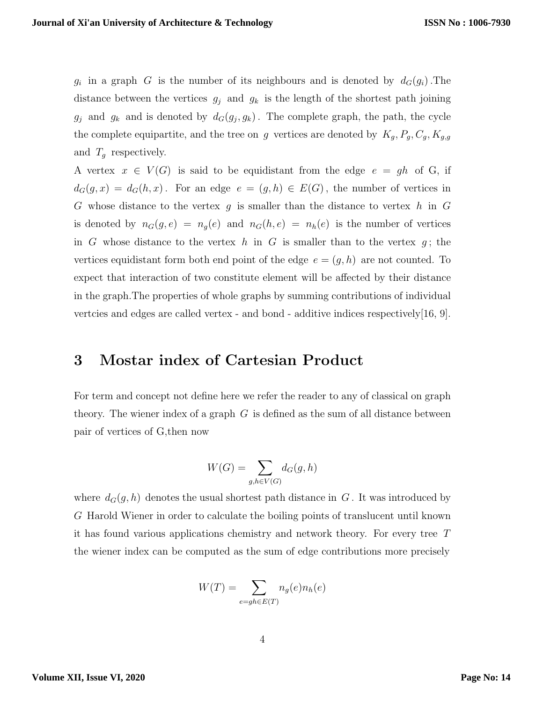$g_i$  in a graph *G* is the number of its neighbours and is denoted by  $d_G(g_i)$ . The distance between the vertices  $g_j$  and  $g_k$  is the length of the shortest path joining  $g_j$  and  $g_k$  and is denoted by  $d_G(g_j, g_k)$ . The complete graph, the path, the cycle the complete equipartite, and the tree on *g* vertices are denoted by  $K_g$ ,  $P_g$ ,  $C_g$ ,  $K_{g,g}$ and *T<sup>g</sup>* respectively.

A vertex  $x \in V(G)$  is said to be equidistant from the edge  $e = gh$  of G, if  $d_G(g, x) = d_G(h, x)$ . For an edge  $e = (g, h) \in E(G)$ , the number of vertices in *G* whose distance to the vertex *g* is smaller than the distance to vertex *h* in *G* is denoted by  $n_G(g, e) = n_g(e)$  and  $n_G(h, e) = n_h(e)$  is the number of vertices in *G* whose distance to the vertex *h* in *G* is smaller than to the vertex  $g$ ; the vertices equidistant form both end point of the edge  $e = (g, h)$  are not counted. To expect that interaction of two constitute element will be affected by their distance in the graph.The properties of whole graphs by summing contributions of individual vertcies and edges are called vertex - and bond - additive indices respectively[16, 9].

## **3 Mostar index of Cartesian Product**

For term and concept not define here we refer the reader to any of classical on graph theory. The wiener index of a graph *G* is defined as the sum of all distance between pair of vertices of G,then now

$$
W(G) = \sum_{g,h \in V(G)} d_G(g,h)
$$

where  $d_G(g, h)$  denotes the usual shortest path distance in  $G$ . It was introduced by *G* Harold Wiener in order to calculate the boiling points of translucent until known it has found various applications chemistry and network theory. For every tree *T* the wiener index can be computed as the sum of edge contributions more precisely

$$
W(T) = \sum_{e=gh \in E(T)} n_g(e) n_h(e)
$$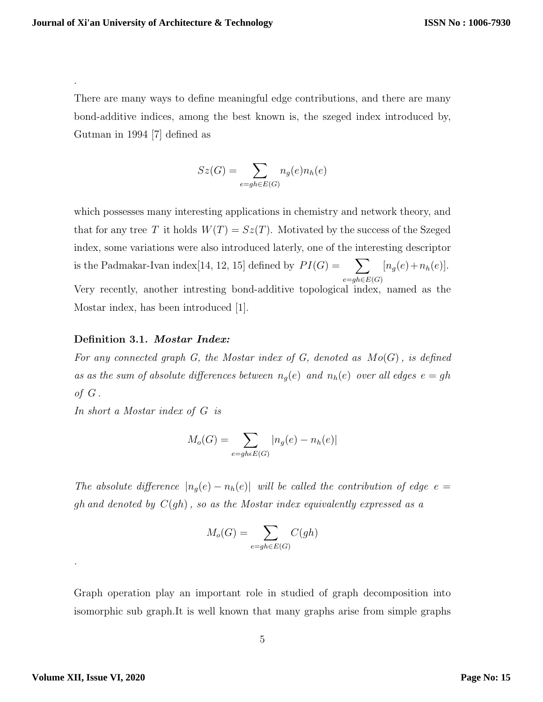.

There are many ways to define meaningful edge contributions, and there are many bond-additive indices, among the best known is, the szeged index introduced by, Gutman in 1994 [7] defined as

$$
Sz(G) = \sum_{e=gh \in E(G)} n_g(e)n_h(e)
$$

which possesses many interesting applications in chemistry and network theory, and that for any tree *T* it holds  $W(T) = Sz(T)$ . Motivated by the success of the Szeged index, some variations were also introduced laterly, one of the interesting descriptor is the Padmakar-Ivan index[14, 12, 15] defined by  $PI(G) = \sum$ *e*=*gh∈E*(*G*)  $[n_g(e) + n_h(e)].$ Very recently, another intresting bond-additive topological index, named as the Mostar index, has been introduced [1].

#### **Definition 3.1.** *Mostar Index:*

*For any connected graph G, the Mostar index of G, denoted as Mo*(*G*)*, is defined as as the sum of absolute differences between*  $n_g(e)$  *and*  $n_h(e)$  *over all edges*  $e = gh$ *of G .*

*In short a Mostar index of G is*

$$
M_o(G) = \sum_{e=gh\epsilon E(G)} |n_g(e) - n_h(e)|
$$

*The absolute difference*  $|n_g(e) - n_h(e)|$  *will be called the contribution of edge*  $e =$ *gh and denoted by C*(*gh*)*, so as the Mostar index equivalently expressed as a*

$$
M_o(G) = \sum_{e=gh \in E(G)} C(gh)
$$

Graph operation play an important role in studied of graph decomposition into isomorphic sub graph.It is well known that many graphs arise from simple graphs

*.*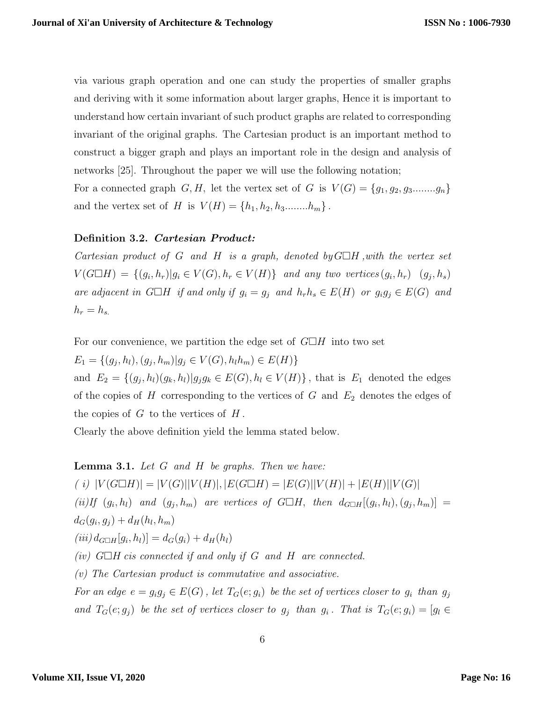via various graph operation and one can study the properties of smaller graphs and deriving with it some information about larger graphs, Hence it is important to understand how certain invariant of such product graphs are related to corresponding invariant of the original graphs. The Cartesian product is an important method to construct a bigger graph and plays an important role in the design and analysis of networks [25]. Throughout the paper we will use the following notation; For a connected graph *G, H,* let the vertex set of *G* is  $V(G) = \{g_1, g_2, g_3, \ldots, g_n\}$ 

and the vertex set of *H* is  $V(H) = \{h_1, h_2, h_3, \ldots, h_m\}$ .

#### **Definition 3.2.** *Cartesian Product:*

*Cartesian product of G and H is a graph, denoted by*  $G\Box H$ *, with the vertex set*  $V(G \Box H) = \{(g_i, h_r)| g_i \in V(G), h_r \in V(H)\}\$ and any two vertices  $(g_i, h_r)$   $(g_j, h_s)$ are adjacent in  $G \Box H$  if and only if  $g_i = g_j$  and  $h_r h_s \in E(H)$  or  $g_i g_j \in E(G)$  and  $h_r = h_s$ .

For our convenience, we partition the edge set of  $G\Box H$  into two set

 $E_1 = \{(g_j, h_l), (g_j, h_m) | g_j \in V(G), h_l h_m) \in E(H)\}\$ 

and  $E_2 = \{(g_j, h_l)(g_k, h_l)|g_jg_k \in E(G), h_l \in V(H)\}\$ , that is  $E_1$  denoted the edges of the copies of *H* corresponding to the vertices of *G* and *E*<sup>2</sup> denotes the edges of the copies of *G* to the vertices of *H* .

Clearly the above definition yield the lemma stated below.

### **Lemma 3.1.** *Let G and H be graphs. Then we have:*

(i)  $|V(G \Box H)| = |V(G)||V(H)|$ ,  $|E(G \Box H)| = |E(G)||V(H)| + |E(H)||V(G)|$ (ii) If  $(g_i, h_l)$  and  $(g_j, h_m)$  are vertices of  $G \Box H$ , then  $d_{G \Box H}[(g_i, h_l), (g_j, h_m)] =$  $d_G(g_i, g_j) + d_H(h_l, h_m)$  $(iii) d_{G \Box H}[g_i, h_l] = d_G(g_i) + d_H(h_l)$ *(iv)*  $G\Box H$  *cis connected if and only if*  $G$  *and*  $H$  *are connected. (v) The Cartesian product is commutative and associative.* For an edge  $e = g_i g_j \in E(G)$ , let  $T_G(e; g_i)$  be the set of vertices closer to  $g_i$  than  $g_j$ and  $T_G(e; g_j)$  be the set of vertices closer to  $g_j$  than  $g_i$ . That is  $T_G(e; g_i) = [g_i \in$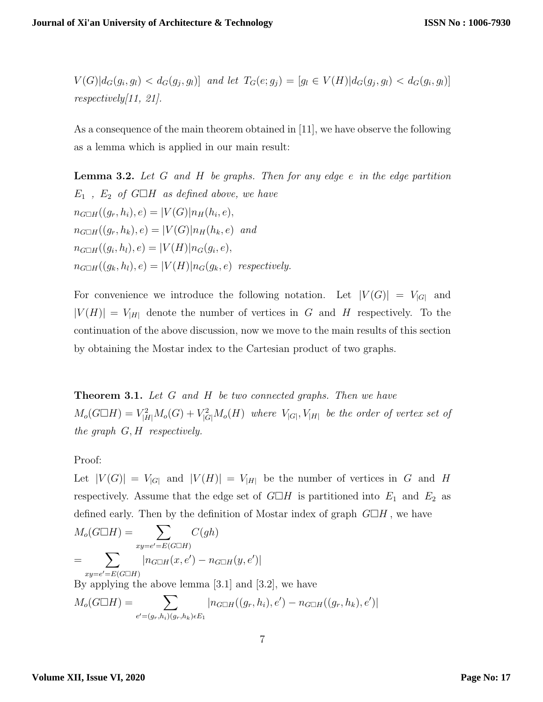$V(G)|d_G(g_i, g_l) < d_G(g_j, g_l)$  and let  $T_G(e; g_j) = [g_l \in V(H)|d_G(g_j, g_l) < d_G(g_i, g_l)]$ *respectively[11, 21].*

As a consequence of the main theorem obtained in [11], we have observe the following as a lemma which is applied in our main result:

**Lemma 3.2.** *Let G and H be graphs. Then for any edge e in the edge partition*  $E_1$ ,  $E_2$  *of*  $G \square H$  *as defined above, we have*  $n_{G \Box H}((g_r, h_i), e) = |V(G)| n_H(h_i, e),$  $n_{G \Box H}((g_r, h_k), e) = |V(G)| n_H(h_k, e)$  *and*  $n_{G \square H}((g_i, h_l), e) = |V(H)| n_G(g_i, e),$  $n_{G \square H}((q_k, h_l), e) = |V(H)| n_G(q_k, e)$  *respectively.* 

For convenience we introduce the following notation. Let  $|V(G)| = V_{|G|}$  and  $|V(H)| = V_{|H|}$  denote the number of vertices in *G* and *H* respectively. To the continuation of the above discussion, now we move to the main results of this section by obtaining the Mostar index to the Cartesian product of two graphs.

**Theorem 3.1.** *Let G and H be two connected graphs. Then we have*  $M_o(G \Box H) = V_{|H|}^2 M_o(G) + V_{|G|}^2 M_o(H)$  where  $V_{|G|}$ ,  $V_{|H|}$  be the order of vertex set of *the graph G, H respectively.*

Proof:

Let  $|V(G)| = V_{|G|}$  and  $|V(H)| = V_{|H|}$  be the number of vertices in *G* and *H* respectively. Assume that the edge set of  $G \Box H$  is partitioned into  $E_1$  and  $E_2$  as defined early. Then by the definition of Mostar index of graph  $G\Box H$ , we have

$$
M_o(G \square H) = \sum_{xy=e'=E(G \square H)} C(gh)
$$
  
= 
$$
\sum_{xy=e'=E(G \square H)} |n_{G \square H}(x, e') - n_{G \square H}(y, e')|
$$
  
By applying the above lemma [3.1] and [3.2], we have  

$$
M_o(G \square H) = \sum_{e'=(g_r, h_i)(g_r, h_k) \in E_1} |n_{G \square H}((g_r, h_i), e') - n_{G \square H}((g_r, h_k), e')|
$$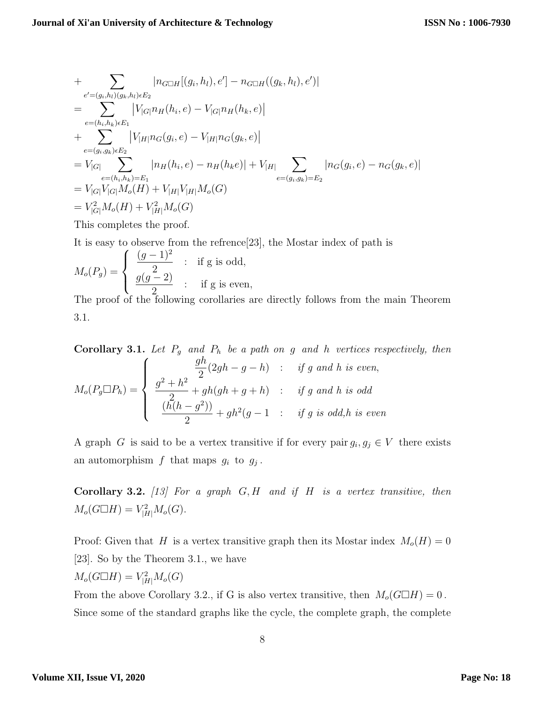+ 
$$
\sum_{e'=(g_i, h_l)(g_k, h_l) \in E_2} |n_{G \Box H}[(g_i, h_l), e'] - n_{G \Box H}((g_k, h_l), e')|
$$
  
\n= 
$$
\sum_{e=(h_i, h_k) \in E_1} |V_{|G|} n_H(h_i, e) - V_{|G|} n_H(h_k, e)|
$$
  
\n+ 
$$
\sum_{e=(g_i, g_k) \in E_2} |V_{|H|} n_G(g_i, e) - V_{|H|} n_G(g_k, e)|
$$
  
\n= 
$$
V_{|G|} \sum_{e=(h_i, h_k) = E_1} |n_H(h_i, e) - n_H(h_k e)| + V_{|H|} \sum_{e=(g_i, g_k) = E_2} |n_G(g_i, e) - n_G(g_k, e)|
$$
  
\n= 
$$
V_{|G|} V_{|G|} M_o(H) + V_{|H|} V_{|H|} M_o(G)
$$
  
\n= 
$$
V_{|G|}^2 M_o(H) + V_{|H|}^2 M_o(G)
$$

This completes the proof.

It is easy to observe from the refrence[23], the Mostar index of path is

$$
M_o(P_g) = \begin{cases} \frac{(g-1)^2}{2} & : \text{if g is odd,} \\ \frac{g(g-2)}{2} & : \text{if g is even,} \end{cases}
$$

The proof of the following corollaries are directly follows from the main Theorem 3.1.

Corollary 3.1. Let 
$$
P_g
$$
 and  $P_h$  be a path on g and h vertices respectively, then  
\n
$$
M_o(P_g \Box P_h) = \begin{cases}\n\frac{gh}{2}(2gh - g - h) & : if g \text{ and } h \text{ is even,} \\
\frac{g^2 + h^2}{2} + gh(gh + g + h) & : if g \text{ and } h \text{ is odd} \\
\frac{(h(h - g^2))}{2} + gh^2(g - 1) & : if g \text{ is odd, } h \text{ is even}\n\end{cases}
$$

A graph *G* is said to be a vertex transitive if for every pair  $g_i, g_j \in V$  there exists an automorphism  $f$  that maps  $g_i$  to  $g_j$ .

**Corollary 3.2.** *[13] For a graph G, H and if H is a vertex transitive, then*  $M_o(G \Box H) = V_{|H|}^2 M_o(G)$ .

Proof: Given that *H* is a vertex transitive graph then its Mostar index  $M_o(H) = 0$ [23]. So by the Theorem 3.1., we have

$$
M_o(G \square H) = V_{|H|}^2 M_o(G)
$$

From the above Corollary 3.2., if G is also vertex transitive, then  $M_o(G \Box H) = 0$ . Since some of the standard graphs like the cycle, the complete graph, the complete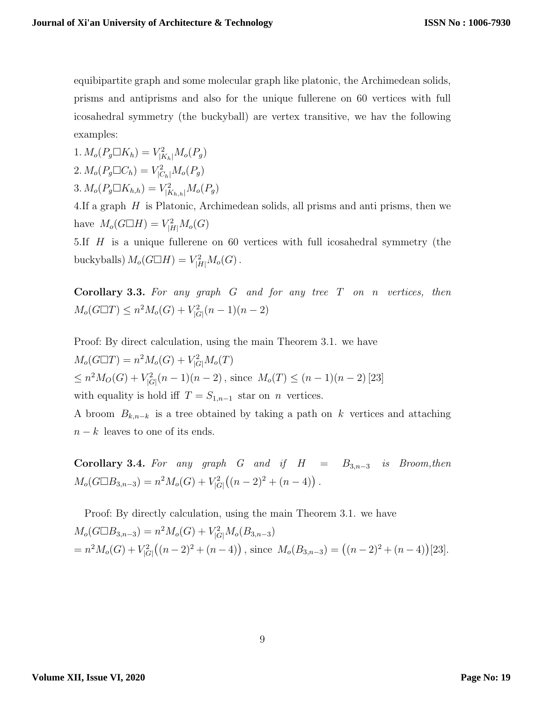equibipartite graph and some molecular graph like platonic, the Archimedean solids, prisms and antiprisms and also for the unique fullerene on 60 vertices with full icosahedral symmetry (the buckyball) are vertex transitive, we hav the following examples:

 $1. M_o(P_g \Box K_h) = V_{|K_h|}^2 M_o(P_g)$ 2.  $M_o(P_g \Box C_h) = V_{|C_h|}^2 M_o(P_g)$ 3.  $M_o(P_g \Box K_{h,h}) = V_{|K_{h,h}|}^2 M_o(P_g)$ 

4.If a graph *H* is Platonic, Archimedean solids, all prisms and anti prisms, then we have  $M_o(G \Box H) = V_{|H|}^2 M_o(G)$ 

5.If *H* is a unique fullerene on 60 vertices with full icosahedral symmetry (the buckyballs)  $M_o(G \Box H) = V_{|H|}^2 M_o(G)$ .

**Corollary 3.3.** *For any graph G and for any tree T on n vertices, then*  $M_o(G \Box T) \leq n^2 M_o(G) + V_{|G|}^2(n-1)(n-2)$ 

Proof: By direct calculation, using the main Theorem 3.1. we have  $M_o(G \Box T) = n^2 M_o(G) + V_{|G|}^2 M_o(T)$  $\leq n^2 M_O(G) + V_{|G|}^2(n-1)(n-2)$ , since  $M_o(T) \leq (n-1)(n-2)$  [23] with equality is hold iff  $T = S_{1,n-1}$  star on *n* vertices.

A broom *Bk,n−<sup>k</sup>* is a tree obtained by taking a path on *k* vertices and attaching *n* − *k* leaves to one of its ends.

**Corollary 3.4.** For any graph G and if  $H = B_{3n-3}$  is Broom, then  $M_o(G \Box B_{3,n-3}) = n^2 M_o(G) + V_{|G|}^2$  $((n-2)^2 + (n-4))$ .

Proof: By directly calculation, using the main Theorem 3.1. we have  $M_o(G \Box B_{3,n-3}) = n^2 M_o(G) + V_{|G|}^2 M_o(B_{3,n-3})$  $= n^2 M_o(G) + V_{|G|}^2$  $((n-2)^2 + (n-4))$ , since  $M_o(B_{3,n-3}) = ((n-2)^2 + (n-4))$ [23]*.*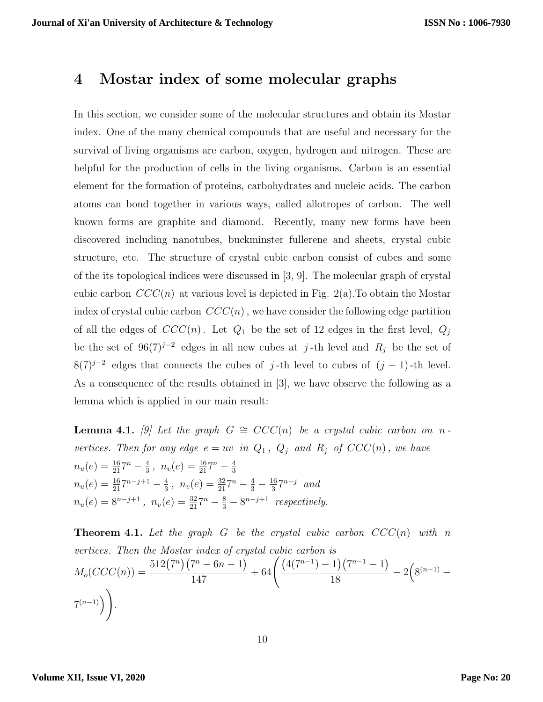## **4 Mostar index of some molecular graphs**

In this section, we consider some of the molecular structures and obtain its Mostar index. One of the many chemical compounds that are useful and necessary for the survival of living organisms are carbon, oxygen, hydrogen and nitrogen. These are helpful for the production of cells in the living organisms. Carbon is an essential element for the formation of proteins, carbohydrates and nucleic acids. The carbon atoms can bond together in various ways, called allotropes of carbon. The well known forms are graphite and diamond. Recently, many new forms have been discovered including nanotubes, buckminster fullerene and sheets, crystal cubic structure, etc. The structure of crystal cubic carbon consist of cubes and some of the its topological indices were discussed in [3, 9]. The molecular graph of crystal cubic carbon  $CCC(n)$  at various level is depicted in Fig. 2(a). To obtain the Mostar index of crystal cubic carbon  $CCC(n)$ , we have consider the following edge partition of all the edges of  $CCC(n)$ . Let  $Q_1$  be the set of 12 edges in the first level,  $Q_j$ be the set of  $96(7)^{j-2}$  edges in all new cubes at *j*-th level and  $R_j$  be the set of  $8(7)^{j-2}$  edges that connects the cubes of *j*-th level to cubes of  $(j-1)$ -th level. As a consequence of the results obtained in [3], we have observe the following as a lemma which is applied in our main result:

**Lemma 4.1.** [9] Let the graph  $G \cong CCC(n)$  be a crystal cubic carbon on *n vertices. Then for any edge*  $e = uv$  *in*  $Q_1$ *,*  $Q_j$  *and*  $R_j$  *of*  $CCC(n)$ *, we have*  $n_u(e) = \frac{16}{21}7^n - \frac{4}{3}$  $\frac{4}{3}$ ,  $n_v(e) = \frac{16}{21}7^n - \frac{4}{3}$ 3  $n_u(e) = \frac{16}{21}7^{n-j+1} - \frac{4}{3}$  $\frac{4}{3}$ ,  $n_v(e) = \frac{32}{21}7^n - \frac{4}{3} - \frac{16}{3}$ 3 7 *<sup>n</sup>−<sup>j</sup> and*  $n_u(e) = 8^{n-j+1}$ ,  $n_v(e) = \frac{32}{21}7^n - \frac{8}{3} - 8^{n-j+1}$  *respectively.* 

**Theorem 4.1.** Let the graph  $G$  be the crystal cubic carbon  $CCC(n)$  with n *vertices. Then the Mostar index of crystal cubic carbon is*  $M_o(CCC(n)) = \frac{512(7^n)(7^n - 6n - 1)}{147}$ 147  $+ 64\left(\frac{(4(7^{n-1})-1)(7^{n-1}-1)}{10}\right)$  $\frac{1}{18}$  $\frac{(7^{n-1}-1)}{2}$  – 2( $8^{(n-1)}$  – 7 (*n−*1)) ) *.*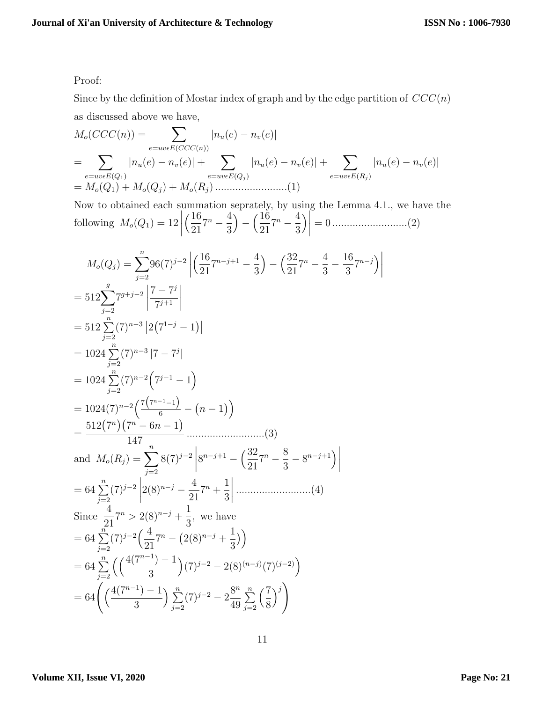Proof:

Since by the definition of Mostar index of graph and by the edge partition of *CCC*(*n*) as discussed above we have,

*<sup>M</sup>o*(*CCC*(*n*)) = <sup>∑</sup> *e*=*uvϵE*(*CCC*(*n*)) *|nu*(*e*) *− nv*(*e*)*|* = ∑ *e*=*uvϵE*(*Q*1) *|nu*(*e*) *− nv*(*e*)*|* + ∑ *e*=*uvϵE*(*Q<sup>j</sup>* ) *|nu*(*e*) *− nv*(*e*)*|* + ∑ *e*=*uvϵE*(*R<sup>j</sup>* ) *|nu*(*e*) *− nv*(*e*)*|* = *Mo*(*Q*1) + *Mo*(*Q<sup>j</sup>* ) + *Mo*(*R<sup>j</sup>* ) .........................(1)

Now to obtained each summation seprately, by using the Lemma 4.1., we have the following  $M_o(Q_1) = 12$  $\begin{array}{c} \begin{array}{c} \begin{array}{c} \end{array} \\ \begin{array}{c} \end{array} \end{array} \end{array}$  $(16)$ 21  $7^n - \frac{4}{2}$ 3  $-\left(\frac{16}{21}\right)$ 21  $7^n - \frac{4}{2}$ 3  $\Bigg) \Bigg|$ = 0 ..........................(2)

$$
M_o(Q_j) = \sum_{j=2}^{n} 96(7)^{j-2} \left| \left( \frac{16}{21} 7^{n-j+1} - \frac{4}{3} \right) - \left( \frac{32}{21} 7^n - \frac{4}{3} - \frac{16}{3} 7^{n-j} \right) \right|
$$
  
\n
$$
= 512 \sum_{j=2}^{g} 7^{g+j-2} \left| \frac{7-7^{j}}{7^{j+1}} \right|
$$
  
\n
$$
= 512 \sum_{j=2}^{n} (7)^{n-3} \left| 2(7^{1-j} - 1) \right|
$$
  
\n
$$
= 1024 \sum_{j=2}^{n} (7)^{n-3} \left| 7 - 7^{j} \right|
$$
  
\n
$$
= 1024 \sum_{j=2}^{n} (7)^{n-2} \left( 7^{j-1} - 1 \right)
$$
  
\n
$$
= 1024(7)^{n-2} \left( \frac{7(r^{n-1}-1)}{6} - (n-1) \right)
$$
  
\n
$$
= \frac{512(7^n) (7^n - 6n - 1)}{147}
$$
  
\nand  $M_o(R_j) = \sum_{j=2}^{n} 8(7)^{j-2} \left| 8^{n-j+1} - \left( \frac{32}{21} 7^n - \frac{8}{3} - 8^{n-j+1} \right) \right|$   
\n
$$
= 64 \sum_{j=2}^{n} (7)^{j-2} \left| 2(8)^{n-j} - \frac{4}{21} 7^n + \frac{1}{3} \right| \dots \dots \dots \dots \dots (4)
$$
  
\nSince  $\frac{4}{21} 7^n > 2(8)^{n-j} + \frac{1}{3}$ , we have  
\n
$$
= 64 \sum_{j=2}^{n} (7)^{j-2} \left( \frac{4}{21} 7^n - (2(8)^{n-j} + \frac{1}{3}) \right)
$$
  
\n
$$
= 64 \sum_{j=2}^{n} \left( \left( \frac{4(7^{n-1}) - 1}{3} \right) (7)^{j-2} - 2 \left( 8 \right)^{(n-j)} (7)^{(
$$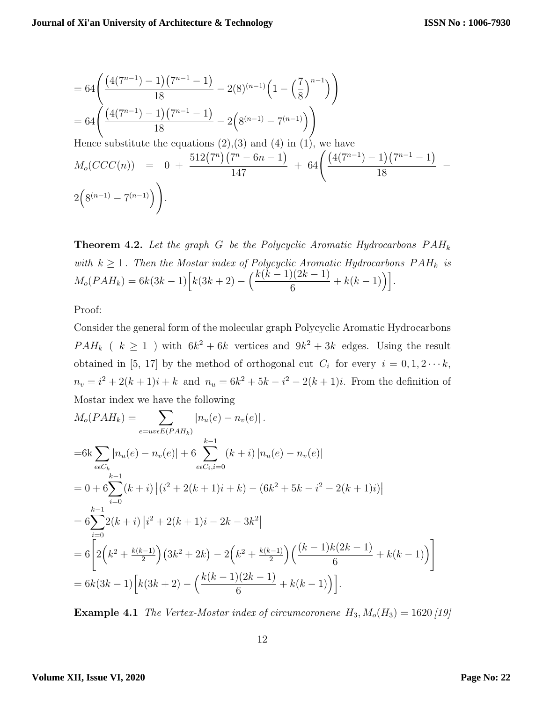$$
= 64 \left( \frac{(4(7^{n-1}) - 1)(7^{n-1} - 1)}{18} - 2(8)^{(n-1)} \left( 1 - \left(\frac{7}{8}\right)^{n-1} \right) \right)
$$
  
= 64 \left( \frac{(4(7^{n-1}) - 1)(7^{n-1} - 1)}{18} - 2\left(8^{(n-1)} - 7^{(n-1)}\right) \right)  
Hence substitute the equations (2), (3) and (4) in (1), we have  

$$
M_o(CCC(n)) = 0 + \frac{512(7^n)(7^n - 6n - 1)}{147} + 64 \left( \frac{(4(7^{n-1}) - 1)(7^{n-1} - 1)}{18} - 2\left(8^{(n-1)} - 7^{(n-1)}\right) \right).
$$

**Theorem 4.2.** *Let the graph G be the Polycyclic Aromatic Hydrocarbons P AH<sup>k</sup> with*  $k \geq 1$ . Then the Mostar index of Polycyclic Aromatic Hydrocarbons  $PAH_k$  is  $M_o(PAH_k) = 6k(3k-1)\left[k(3k+2) - \left(\frac{k(k-1)(2k-1)}{c}\right)\right]$  $\frac{((2k-1)}{6} + k(k-1)\right].$ 

Proof:

Consider the general form of the molecular graph Polycyclic Aromatic Hydrocarbons  $PAH_k$  (  $k \geq 1$  ) with  $6k^2 + 6k$  vertices and  $9k^2 + 3k$  edges. Using the result obtained in [5, 17] by the method of orthogonal cut  $C_i$  for every  $i = 0, 1, 2 \cdots k$ ,  $n_v = i^2 + 2(k+1)i + k$  and  $n_u = 6k^2 + 5k - i^2 - 2(k+1)i$ . From the definition of Mostar index we have the following

$$
M_o(PAH_k) = \sum_{e=uv\in E(PAH_k)} |n_u(e) - n_v(e)|.
$$
  
\n
$$
=6k \sum_{e \in C_k} |n_u(e) - n_v(e)| + 6 \sum_{e \in C_i, i=0}^{k-1} (k+i) |n_u(e) - n_v(e)|
$$
  
\n
$$
= 0 + 6 \sum_{i=0}^{k-1} (k+i) |(i^2 + 2(k+1)i + k) - (6k^2 + 5k - i^2 - 2(k+1)i)|
$$
  
\n
$$
= 6 \sum_{i=0}^{k-1} 2(k+i) |i^2 + 2(k+1)i - 2k - 3k^2|
$$
  
\n
$$
= 6 \left[ 2(k^2 + \frac{k(k-1)}{2}) (3k^2 + 2k) - 2(k^2 + \frac{k(k-1)}{2}) \left( \frac{(k-1)k(2k-1)}{6} + k(k-1) \right) \right]
$$
  
\n
$$
= 6k(3k-1) [k(3k+2) - (\frac{k(k-1)(2k-1)}{6} + k(k-1))].
$$

**Example 4.1** *The Vertex-Mostar index of circumcoronene*  $H_3$ ,  $M_o(H_3) = 1620$  [19]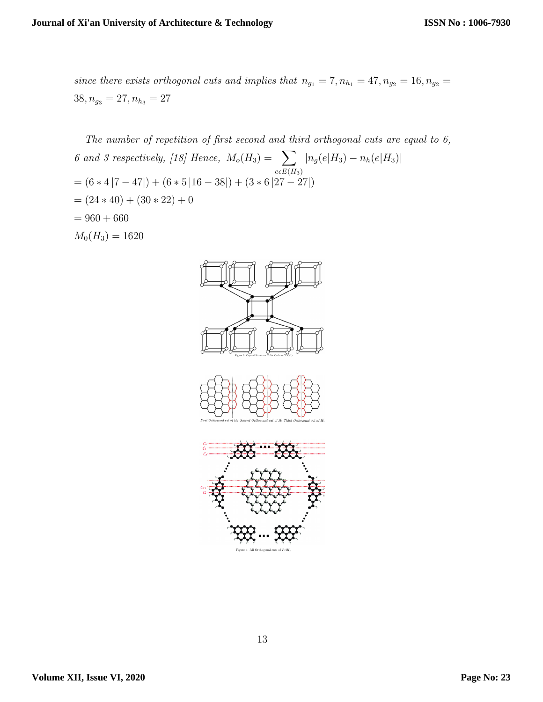*since there exists orthogonal cuts and implies that*  $n_{g_1} = 7, n_{h_1} = 47, n_{g_2} = 16, n_{g_2} = 16$  $38, n_{g_3} = 27, n_{h_3} = 27$ 

*The number of repetition of first second and third orthogonal cuts are equal to 6, 6 and 3 respectively,* [18] Hence,  $M_o(H_3) = \sum$  $e\epsilon E(H_3)$ *|ng*(*e|H*3) *− nh*(*e|H*3)*|* = (6 *∗* 4 *|*7 *−* 47*|*) + (6 *∗* 5 *|*16 *−* 38*|*) + (3 *∗* 6 *|*27 *−* 27*|*)  $=(24 * 40) + (30 * 22) + 0$  $= 960 + 660$  $M_0(H_3) = 1620$ 

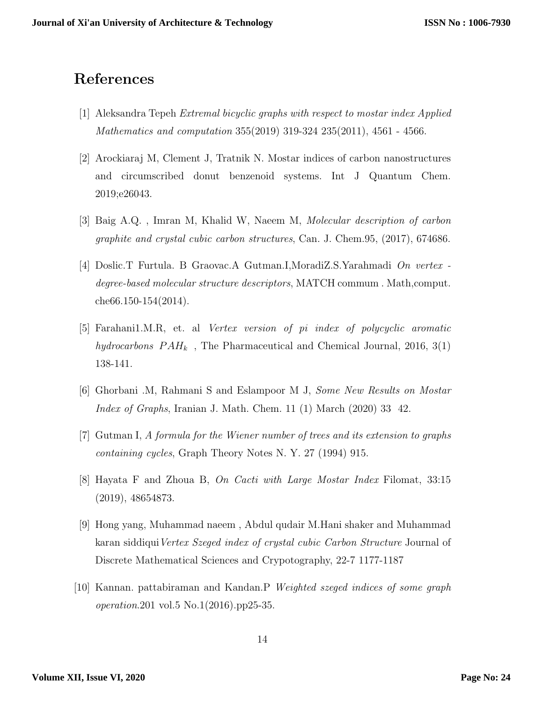## **References**

- [1] Aleksandra Tepeh *Extremal bicyclic graphs with respect to mostar index Applied Mathematics and computation* 355(2019) 319-324 235(2011), 4561 - 4566.
- [2] Arockiaraj M, Clement J, Tratnik N. Mostar indices of carbon nanostructures and circumscribed donut benzenoid systems. Int J Quantum Chem. 2019;e26043.
- [3] Baig A.Q. , Imran M, Khalid W, Naeem M, *Molecular description of carbon graphite and crystal cubic carbon structures*, Can. J. Chem.95, (2017), 674686.
- [4] Doslic.T Furtula. B Graovac.A Gutman.I,MoradiZ.S.Yarahmadi *On vertex degree-based molecular structure descriptors*, MATCH commum . Math,comput. che66.150-154(2014).
- [5] Farahani1.M.R, et. al *Vertex version of pi index of polycyclic aromatic hydrocarbons*  $PAH_k$ , The Pharmaceutical and Chemical Journal, 2016, 3(1) 138-141.
- [6] Ghorbani .M, Rahmani S and Eslampoor M J, *Some New Results on Mostar Index of Graphs*, Iranian J. Math. Chem. 11 (1) March (2020) 33 42.
- [7] Gutman I, *A formula for the Wiener number of trees and its extension to graphs containing cycles*, Graph Theory Notes N. Y. 27 (1994) 915.
- [8] Hayata F and Zhoua B, *On Cacti with Large Mostar Index* Filomat, 33:15 (2019), 48654873.
- [9] Hong yang, Muhammad naeem , Abdul qudair M.Hani shaker and Muhammad karan siddiqui*Vertex Szeged index of crystal cubic Carbon Structure* Journal of Discrete Mathematical Sciences and Crypotography, 22-7 1177-1187
- [10] Kannan. pattabiraman and Kandan.P *Weighted szeged indices of some graph operation*.201 vol.5 No.1(2016).pp25-35.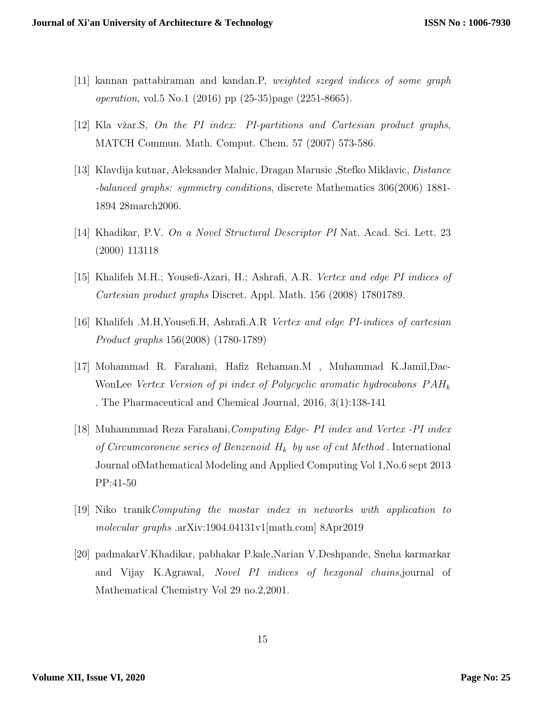- [11] kannan pattabiraman and kandan.P, *weighted szeged indices of some graph operation*, vol.5 No.1 (2016) pp (25-35)page (2251-8665).
- [12] Kla vˇzar.S, *On the PI index: PI-partitions and Cartesian product graphs*, MATCH Commun. Math. Comput. Chem. 57 (2007) 573-586.
- [13] Klavdija kutnar, Aleksander Malnic, Dragan Marusic ,Stefko Miklavic, *Distance -balanced graphs: symmetry conditions*, discrete Mathematics 306(2006) 1881- 1894 28march2006.
- [14] Khadikar, P.V. *On a Novel Structural Descriptor PI* Nat. Acad. Sci. Lett. 23 (2000) 113118
- [15] Khalifeh M.H.; Yousefi-Azari, H.; Ashrafi, A.R. *Vertex and edge PI indices of Cartesian product graphs* Discret. Appl. Math. 156 (2008) 17801789.
- [16] Khalifeh .M.H,Yousefi.H, Ashrafi.A.R *Vertex and edge PI-indices of cartesian Product graphs* 156(2008) (1780-1789)
- [17] Mohammad R. Farahani, Hafiz Rehaman.M , Muhammad K.Jamil,Dac-WonLee *Vertex Version of pi index of Polycyclic aromatic hydrocabons P AH<sup>k</sup>* . The Pharmaceutical and Chemical Journal, 2016, 3(1):138-141
- [18] Muhammmad Reza Farahani,*Computing Edge- PI index and Vertex -PI index of Circumcoronene series of Benzenoid H<sup>k</sup> by use of cut Method* . International Journal ofMathematical Modeling and Applied Computing Vol 1,No.6 sept 2013 PP:41-50
- [19] Niko tranik*Computing the mostar index in networks with application to molecular graphs* .arXiv:1904.04131v1[math.com] 8Apr2019
- [20] padmakarV.Khadikar, pabhakar P.kale,Narian V.Deshpande, Sneha karmarkar and Vijay K.Agrawal, *Novel PI indices of hexgonal chains*,journal of Mathematical Chemistry Vol 29 no.2,2001.